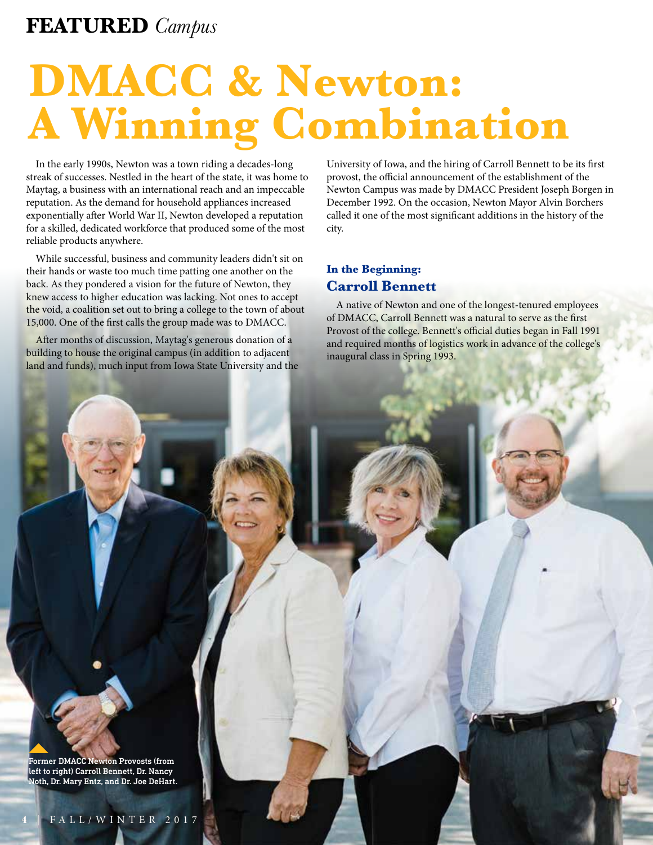### **FEATURED** *Campus*

# **DMACC & Newton: A Winning Combination**

In the early 1990s, Newton was a town riding a decades-long streak of successes. Nestled in the heart of the state, it was home to Maytag, a business with an international reach and an impeccable reputation. As the demand for household appliances increased exponentially after World War II, Newton developed a reputation for a skilled, dedicated workforce that produced some of the most reliable products anywhere.

While successful, business and community leaders didn't sit on their hands or waste too much time patting one another on the back. As they pondered a vision for the future of Newton, they knew access to higher education was lacking. Not ones to accept the void, a coalition set out to bring a college to the town of about 15,000. One of the frst calls the group made was to DMACC.

Afer months of discussion, Maytag's generous donation of a building to house the original campus (in addition to adjacent land and funds), much input from Iowa State University and the University of Iowa, and the hiring of Carroll Bennett to be its frst provost, the official announcement of the establishment of the Newton Campus was made by DMACC President Joseph Borgen in December 1992. On the occasion, Newton Mayor Alvin Borchers called it one of the most signifcant additions in the history of the city.

### **In the Beginning: Carroll Bennett**

A native of Newton and one of the longest-tenured employees of DMACC, Carroll Bennett was a natural to serve as the frst Provost of the college. Bennett's official duties began in Fall 1991 and required months of logistics work in advance of the college's inaugural class in Spring 1993.

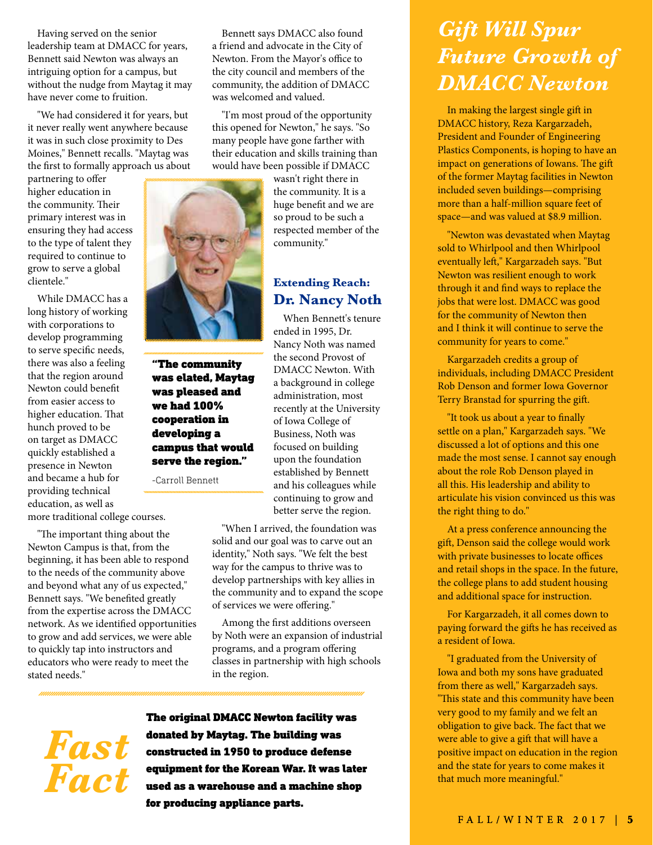Having served on the senior leadership team at DMACC for years, Bennett said Newton was always an intriguing option for a campus, but without the nudge from Maytag it may have never come to fruition.

"We had considered it for years, but it never really went anywhere because it was in such close proximity to Des Moines," Bennett recalls. "Maytag was the frst to formally approach us about

required to continue to grow to serve a global

While DMACC has a<br>
long history of working<br>
with corporations to<br>
develop programming<br>
to serve specific needs,<br>
there was also a feeling<br>
to serve specific needs,<br>
there was also a feeling<br>
with that the region around<br>
Wa

network. As we identified opportunities Among the first additions overseen<br>to grow and add services, we were able by Noth were an expansion of industrial to grow and add services, we were able by Noth were an expansion of indu<br>to quickly tap into instructors and programs, and a program offering educators who were ready to meet the stated needs." in the region.

Bennett says DMACC also found a friend and advocate in the City of Newton. From the Mayor's office to the city council and members of the community, the addition of DMACC was welcomed and valued.

"I'm most proud of the opportunity this opened for Newton," he says. "So many people have gone farther with their education and skills training than would have been possible if DMACC



## **Extending Reach:**

"The important thing about the Newton Campus is that, from the solid and our goal was to carve out an beginning, it has been able to respond<br>to the needs of the community above and beyond what any of us expected,"<br>Bennett

to quickly tap into instructors and programs, and a program offering<br>
educators who were ready to meet the classes in partnership with high schools

The original DMACC Newton facility was **FAST**<br> **FAST**<br> **FACE**<br> **FACE**<br> **FACE**<br> **FACE**<br> **FACE**<br> **FACE**<br> **FACE**<br> **FACE**<br> **FACE**<br> **FACE**<br> **FACE**<br> **FACE**<br> **FACE**<br> **FACE**<br> **FACE**<br> **FACE**<br> **FACE**<br> **FACE** equipment for the Korean War. It was later *Fact* used as a warehouse and a machine shop for producing appliance parts.

## *Gift Will Spur Future Growth of DMACC Newton*

In making the largest single gif in DMACC history, Reza Kargarzadeh, President and Founder of Engineering Plastics Components, is hoping to have an impact on generations of Iowans. The gift of the former Maytag facilities in Newton included seven buildings—comprising more than a half-million square feet of space—and was valued at \$8.9 million.

"Newton was devastated when Maytag sold to Whirlpool and then Whirlpool eventually lef," Kargarzadeh says. "But Newton was resilient enough to work through it and fnd ways to replace the jobs that were lost. DMACC was good for the community of Newton then and I think it will continue to serve the community for years to come."

Kargarzadeh credits a group of individuals, including DMACC President Rob Denson and former Iowa Governor Terry Branstad for spurring the gif.

"It took us about a year to fnally settle on a plan," Kargarzadeh says. "We discussed a lot of options and this one made the most sense. I cannot say enough about the role Rob Denson played in all this. His leadership and ability to articulate his vision convinced us this was the right thing to do."

At a press conference announcing the gif, Denson said the college would work with private businesses to locate offices and retail shops in the space. In the future, the college plans to add student housing and additional space for instruction.

For Kargarzadeh, it all comes down to paying forward the gifs he has received as a resident of Iowa.

"I graduated from the University of Iowa and both my sons have graduated from there as well," Kargarzadeh says. "This state and this community have been very good to my family and we felt an obligation to give back. The fact that we were able to give a gift that will have a positive impact on education in the region and the state for years to come makes it that much more meaningful."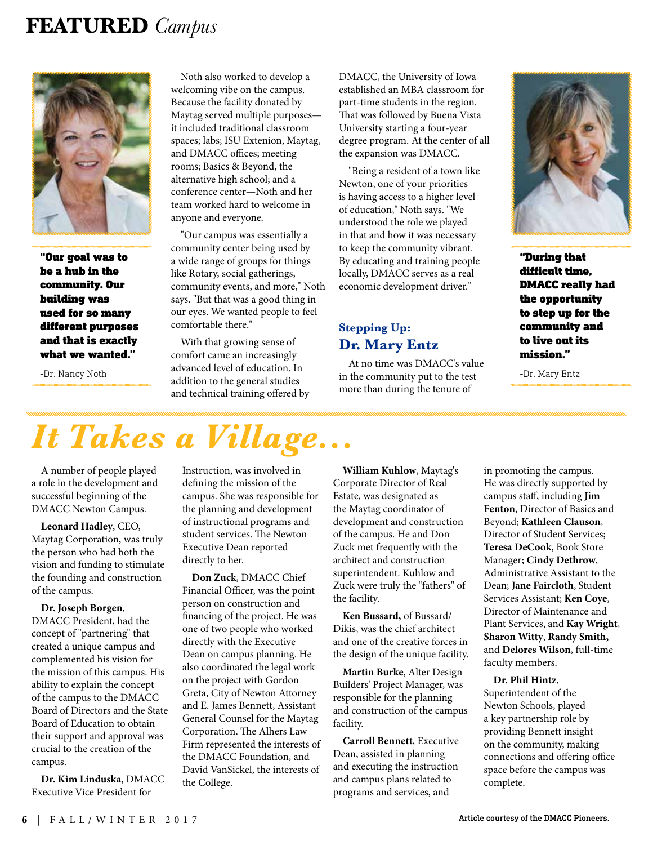### **FEATURED** *Campus*



"Our goal was to be a hub in the community. Our building was used for so many different purposes and that is exactly what we wanted."

-Dr. Nancy Noth

Noth also worked to develop a welcoming vibe on the campus. Because the facility donated by Maytag served multiple purposes it included traditional classroom spaces; labs; ISU Extenion, Maytag, and DMACC offices; meeting rooms; Basics & Beyond, the alternative high school; and a conference center—Noth and her team worked hard to welcome in anyone and everyone.

"Our campus was essentially a community center being used by a wide range of groups for things like Rotary, social gatherings, community events, and more," Noth says. "But that was a good thing in our eyes. We wanted people to feel comfortable there."

With that growing sense of comfort came an increasingly advanced level of education. In addition to the general studies and technical training ofered by DMACC, the University of Iowa established an MBA classroom for part-time students in the region. That was followed by Buena Vista University starting a four-year degree program. At the center of all the expansion was DMACC.

"Being a resident of a town like Newton, one of your priorities is having access to a higher level of education," Noth says. "We understood the role we played in that and how it was necessary to keep the community vibrant. By educating and training people locally, DMACC serves as a real economic development driver."

## **Stepping Up: Dr. Mary Entz**

At no time was DMACC's value in the community put to the test more than during the tenure of



"During that difficult time, DMACC really had the opportunity to step up for the community and to live out its mission."

-Dr. Mary Entz

# *It Takes a Village...*

A number of people played a role in the development and successful beginning of the DMACC Newton Campus.

**Leonard Hadley**, CEO, Maytag Corporation, was truly the person who had both the vision and funding to stimulate the founding and construction of the campus.

#### **Dr. Joseph Borgen**,

DMACC President, had the concept of "partnering" that created a unique campus and complemented his vision for the mission of this campus. His ability to explain the concept of the campus to the DMACC Board of Directors and the State Board of Education to obtain their support and approval was crucial to the creation of the campus.

**Dr. Kim Linduska**, DMACC Executive Vice President for

Instruction, was involved in defning the mission of the campus. She was responsible for the planning and development of instructional programs and student services. The Newton Executive Dean reported directly to her.

**Don Zuck**, DMACC Chief Financial Officer, was the point person on construction and fnancing of the project. He was one of two people who worked directly with the Executive Dean on campus planning. He also coordinated the legal work on the project with Gordon Greta, City of Newton Attorney and E. James Bennett, Assistant General Counsel for the Maytag Corporation. The Alhers Law Firm represented the interests of the DMACC Foundation, and David VanSickel, the interests of the College.

**William Kuhlow**, Maytag's Corporate Director of Real Estate, was designated as the Maytag coordinator of development and construction of the campus. He and Don Zuck met frequently with the architect and construction superintendent. Kuhlow and Zuck were truly the "fathers" of the facility.

**Ken Bussard,** of Bussard/ Dikis, was the chief architect and one of the creative forces in the design of the unique facility.

**Martin Burke**, Alter Design Builders' Project Manager, was responsible for the planning and construction of the campus facility.

**Carroll Bennett**, Executive Dean, assisted in planning and executing the instruction and campus plans related to programs and services, and

in promoting the campus. He was directly supported by campus staf, including **Jim Fenton**, Director of Basics and Beyond; **Kathleen Clauson**, Director of Student Services; **Teresa DeCook**, Book Store Manager; **Cindy Dethrow**, Administrative Assistant to the Dean; **Jane Faircloth**, Student Services Assistant; **Ken Coye**, Director of Maintenance and Plant Services, and **Kay Wright**, **Sharon Witty**, **Randy Smith,**  and **Delores Wilson**, full-time faculty members.

#### **Dr. Phil Hintz**,

Superintendent of the Newton Schools, played a key partnership role by providing Bennett insight on the community, making connections and offering office space before the campus was complete.